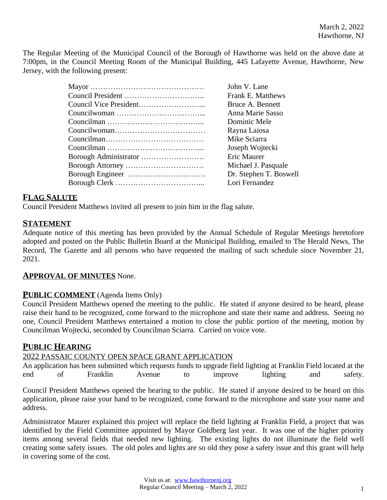The Regular Meeting of the Municipal Council of the Borough of Hawthorne was held on the above date at 7:00pm, in the Council Meeting Room of the Municipal Building, 445 Lafayette Avenue, Hawthorne, New Jersey, with the following present:

| John V. Lane           |
|------------------------|
| Frank E. Matthews      |
| Bruce A. Bennett       |
| Anna Marie Sasso       |
| Dominic Mele           |
| Rayna Laiosa           |
| Mike Sciarra           |
| Joseph Wojtecki        |
| Eric Maurer            |
| Michael J. Pasquale    |
| Dr. Stephen T. Boswell |
| Lori Fernandez         |
|                        |

## **FLAG SALUTE**

Council President Matthews invited all present to join him in the flag salute.

## **STATEMENT**

Adequate notice of this meeting has been provided by the Annual Schedule of Regular Meetings heretofore adopted and posted on the Public Bulletin Board at the Municipal Building, emailed to The Herald News, The Record, The Gazette and all persons who have requested the mailing of such schedule since November 21, 2021.

#### **APPROVAL OF MINUTES** None.

## **PUBLIC COMMENT** (Agenda Items Only)

Council President Matthews opened the meeting to the public. He stated if anyone desired to be heard, please raise their hand to be recognized, come forward to the microphone and state their name and address. Seeing no one, Council President Matthews entertained a motion to close the public portion of the meeting, motion by Councilman Wojtecki, seconded by Councilman Sciarra. Carried on voice vote.

## **PUBLIC HEARING**

#### 2022 PASSAIC COUNTY OPEN SPACE GRANT APPLICATION

An application has been submitted which requests funds to upgrade field lighting at Franklin Field located at the end of Franklin Avenue to improve lighting and safety.

Council President Matthews opened the hearing to the public. He stated if anyone desired to be heard on this application, please raise your hand to be recognized, come forward to the microphone and state your name and address.

Administrator Maurer explained this project will replace the field lighting at Franklin Field, a project that was identified by the Field Committee appointed by Mayor Goldberg last year. It was one of the higher priority items among several fields that needed new lighting. The existing lights do not illuminate the field well creating some safety issues. The old poles and lights are so old they pose a safety issue and this grant will help in covering some of the cost.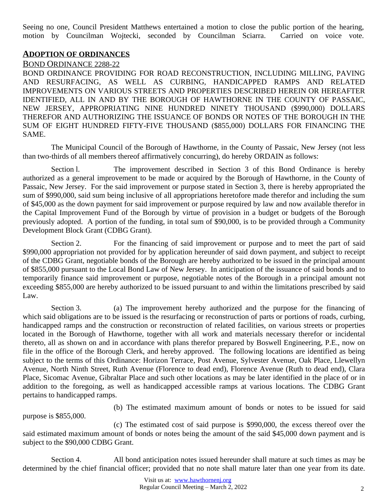Seeing no one, Council President Matthews entertained a motion to close the public portion of the hearing, motion by Councilman Wojtecki, seconded by Councilman Sciarra. Carried on voice vote.

#### **ADOPTION OF ORDINANCES**

#### BOND ORDINANCE 2288-22

BOND ORDINANCE PROVIDING FOR ROAD RECONSTRUCTION, INCLUDING MILLING, PAVING AND RESURFACING, AS WELL AS CURBING, HANDICAPPED RAMPS AND RELATED IMPROVEMENTS ON VARIOUS STREETS AND PROPERTIES DESCRIBED HEREIN OR HEREAFTER IDENTIFIED, ALL IN AND BY THE BOROUGH OF HAWTHORNE IN THE COUNTY OF PASSAIC, NEW JERSEY, APPROPRIATING NINE HUNDRED NINETY THOUSAND (\$990,000) DOLLARS THEREFOR AND AUTHORIZING THE ISSUANCE OF BONDS OR NOTES OF THE BOROUGH IN THE SUM OF EIGHT HUNDRED FIFTY-FIVE THOUSAND (\$855,000) DOLLARS FOR FINANCING THE SAME.

The Municipal Council of the Borough of Hawthorne, in the County of Passaic, New Jersey (not less than two-thirds of all members thereof affirmatively concurring), do hereby ORDAIN as follows:

Section l. The improvement described in Section 3 of this Bond Ordinance is hereby authorized as a general improvement to be made or acquired by the Borough of Hawthorne, in the County of Passaic, New Jersey. For the said improvement or purpose stated in Section 3, there is hereby appropriated the sum of \$990,000, said sum being inclusive of all appropriations heretofore made therefor and including the sum of \$45,000 as the down payment for said improvement or purpose required by law and now available therefor in the Capital Improvement Fund of the Borough by virtue of provision in a budget or budgets of the Borough previously adopted. A portion of the funding, in total sum of \$90,000, is to be provided through a Community Development Block Grant (CDBG Grant).

Section 2. For the financing of said improvement or purpose and to meet the part of said \$990,000 appropriation not provided for by application hereunder of said down payment, and subject to receipt of the CDBG Grant, negotiable bonds of the Borough are hereby authorized to be issued in the principal amount of \$855,000 pursuant to the Local Bond Law of New Jersey. In anticipation of the issuance of said bonds and to temporarily finance said improvement or purpose, negotiable notes of the Borough in a principal amount not exceeding \$855,000 are hereby authorized to be issued pursuant to and within the limitations prescribed by said Law.

Section 3. (a) The improvement hereby authorized and the purpose for the financing of which said obligations are to be issued is the resurfacing or reconstruction of parts or portions of roads, curbing, handicapped ramps and the construction or reconstruction of related facilities, on various streets or properties located in the Borough of Hawthorne, together with all work and materials necessary therefor or incidental thereto, all as shown on and in accordance with plans therefor prepared by Boswell Engineering, P.E., now on file in the office of the Borough Clerk, and hereby approved. The following locations are identified as being subject to the terms of this Ordinance: Horizon Terrace, Post Avenue, Sylvester Avenue, Oak Place, Llewellyn Avenue, North Ninth Street, Ruth Avenue (Florence to dead end), Florence Avenue (Ruth to dead end), Clara Place, Sicomac Avenue, Gibraltar Place and such other locations as may be later identified in the place of or in addition to the foregoing, as well as handicapped accessible ramps at various locations. The CDBG Grant pertains to handicapped ramps.

purpose is \$855,000.

(b) The estimated maximum amount of bonds or notes to be issued for said

(c) The estimated cost of said purpose is \$990,000, the excess thereof over the said estimated maximum amount of bonds or notes being the amount of the said \$45,000 down payment and is subject to the \$90,000 CDBG Grant.

Section 4. All bond anticipation notes issued hereunder shall mature at such times as may be determined by the chief financial officer; provided that no note shall mature later than one year from its date.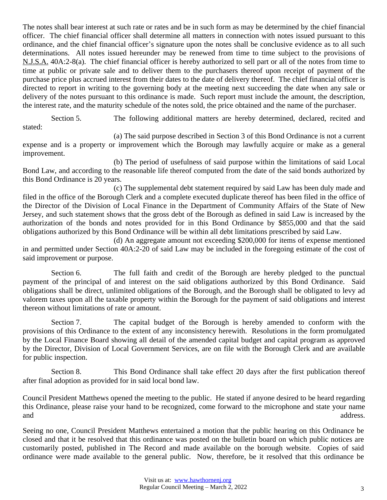The notes shall bear interest at such rate or rates and be in such form as may be determined by the chief financial officer. The chief financial officer shall determine all matters in connection with notes issued pursuant to this ordinance, and the chief financial officer's signature upon the notes shall be conclusive evidence as to all such determinations. All notes issued hereunder may be renewed from time to time subject to the provisions of N.J.S.A. 40A:2-8(a). The chief financial officer is hereby authorized to sell part or all of the notes from time to time at public or private sale and to deliver them to the purchasers thereof upon receipt of payment of the purchase price plus accrued interest from their dates to the date of delivery thereof. The chief financial officer is directed to report in writing to the governing body at the meeting next succeeding the date when any sale or delivery of the notes pursuant to this ordinance is made. Such report must include the amount, the description, the interest rate, and the maturity schedule of the notes sold, the price obtained and the name of the purchaser.

Section 5. The following additional matters are hereby determined, declared, recited and stated:

(a) The said purpose described in Section 3 of this Bond Ordinance is not a current expense and is a property or improvement which the Borough may lawfully acquire or make as a general improvement.

(b) The period of usefulness of said purpose within the limitations of said Local Bond Law, and according to the reasonable life thereof computed from the date of the said bonds authorized by this Bond Ordinance is 20 years.

(c) The supplemental debt statement required by said Law has been duly made and filed in the office of the Borough Clerk and a complete executed duplicate thereof has been filed in the office of the Director of the Division of Local Finance in the Department of Community Affairs of the State of New Jersey, and such statement shows that the gross debt of the Borough as defined in said Law is increased by the authorization of the bonds and notes provided for in this Bond Ordinance by \$855,000 and that the said obligations authorized by this Bond Ordinance will be within all debt limitations prescribed by said Law.

(d) An aggregate amount not exceeding \$200,000 for items of expense mentioned in and permitted under Section 40A:2-20 of said Law may be included in the foregoing estimate of the cost of said improvement or purpose.

Section 6. The full faith and credit of the Borough are hereby pledged to the punctual payment of the principal of and interest on the said obligations authorized by this Bond Ordinance. Said obligations shall be direct, unlimited obligations of the Borough, and the Borough shall be obligated to levy ad valorem taxes upon all the taxable property within the Borough for the payment of said obligations and interest thereon without limitations of rate or amount.

Section 7. The capital budget of the Borough is hereby amended to conform with the provisions of this Ordinance to the extent of any inconsistency herewith. Resolutions in the form promulgated by the Local Finance Board showing all detail of the amended capital budget and capital program as approved by the Director, Division of Local Government Services, are on file with the Borough Clerk and are available for public inspection.

Section 8. This Bond Ordinance shall take effect 20 days after the first publication thereof after final adoption as provided for in said local bond law.

Council President Matthews opened the meeting to the public. He stated if anyone desired to be heard regarding this Ordinance, please raise your hand to be recognized, come forward to the microphone and state your name and address.

Seeing no one, Council President Matthews entertained a motion that the public hearing on this Ordinance be closed and that it be resolved that this ordinance was posted on the bulletin board on which public notices are customarily posted, published in The Record and made available on the borough website. Copies of said ordinance were made available to the general public. Now, therefore, be it resolved that this ordinance be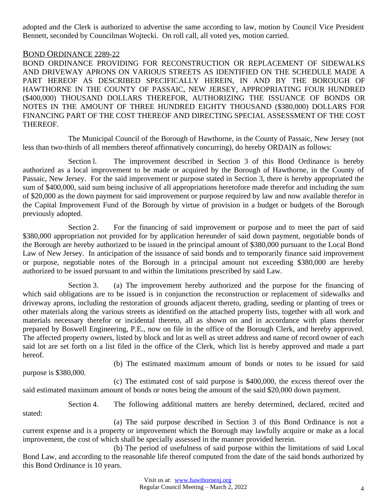adopted and the Clerk is authorized to advertise the same according to law, motion by Council Vice President Bennett, seconded by Councilman Wojtecki. On roll call, all voted yes, motion carried.

#### BOND ORDINANCE 2289-22

BOND ORDINANCE PROVIDING FOR RECONSTRUCTION OR REPLACEMENT OF SIDEWALKS AND DRIVEWAY APRONS ON VARIOUS STREETS AS IDENTIFIED ON THE SCHEDULE MADE A PART HEREOF AS DESCRIBED SPECIFICALLY HEREIN, IN AND BY THE BOROUGH OF HAWTHORNE IN THE COUNTY OF PASSAIC, NEW JERSEY, APPROPRIATING FOUR HUNDRED (\$400,000) THOUSAND DOLLARS THEREFOR, AUTHORIZING THE ISSUANCE OF BONDS OR NOTES IN THE AMOUNT OF THREE HUNDRED EIGHTY THOUSAND (\$380,000) DOLLARS FOR FINANCING PART OF THE COST THEREOF AND DIRECTING SPECIAL ASSESSMENT OF THE COST THEREOF.

The Municipal Council of the Borough of Hawthorne, in the County of Passaic, New Jersey (not less than two-thirds of all members thereof affirmatively concurring), do hereby ORDAIN as follows:

Section l. The improvement described in Section 3 of this Bond Ordinance is hereby authorized as a local improvement to be made or acquired by the Borough of Hawthorne, in the County of Passaic, New Jersey. For the said improvement or purpose stated in Section 3, there is hereby appropriated the sum of \$400,000, said sum being inclusive of all appropriations heretofore made therefor and including the sum of \$20,000 as the down payment for said improvement or purpose required by law and now available therefor in the Capital Improvement Fund of the Borough by virtue of provision in a budget or budgets of the Borough previously adopted.

Section 2. For the financing of said improvement or purpose and to meet the part of said \$380,000 appropriation not provided for by application hereunder of said down payment, negotiable bonds of the Borough are hereby authorized to be issued in the principal amount of \$380,000 pursuant to the Local Bond Law of New Jersey. In anticipation of the issuance of said bonds and to temporarily finance said improvement or purpose, negotiable notes of the Borough in a principal amount not exceeding \$380,000 are hereby authorized to be issued pursuant to and within the limitations prescribed by said Law.

Section 3. (a) The improvement hereby authorized and the purpose for the financing of which said obligations are to be issued is in conjunction the reconstruction or replacement of sidewalks and driveway aprons, including the restoration of grounds adjacent thereto, grading, seeding or planting of trees or other materials along the various streets as identified on the attached property lists, together with all work and materials necessary therefor or incidental thereto, all as shown on and in accordance with plans therefor prepared by Boswell Engineering, P.E., now on file in the office of the Borough Clerk, and hereby approved. The affected property owners, listed by block and lot as well as street address and name of record owner of each said lot are set forth on a list filed in the office of the Clerk, which list is hereby approved and made a part hereof.

purpose is \$380,000.

(b) The estimated maximum amount of bonds or notes to be issued for said

(c) The estimated cost of said purpose is \$400,000, the excess thereof over the said estimated maximum amount of bonds or notes being the amount of the said \$20,000 down payment.

Section 4. The following additional matters are hereby determined, declared, recited and stated:

(a) The said purpose described in Section 3 of this Bond Ordinance is not a current expense and is a property or improvement which the Borough may lawfully acquire or make as a local improvement, the cost of which shall be specially assessed in the manner provided herein.

(b) The period of usefulness of said purpose within the limitations of said Local Bond Law, and according to the reasonable life thereof computed from the date of the said bonds authorized by this Bond Ordinance is 10 years.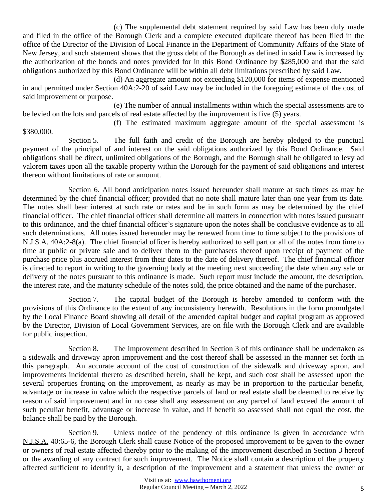(c) The supplemental debt statement required by said Law has been duly made and filed in the office of the Borough Clerk and a complete executed duplicate thereof has been filed in the office of the Director of the Division of Local Finance in the Department of Community Affairs of the State of New Jersey, and such statement shows that the gross debt of the Borough as defined in said Law is increased by the authorization of the bonds and notes provided for in this Bond Ordinance by \$285,000 and that the said obligations authorized by this Bond Ordinance will be within all debt limitations prescribed by said Law.

(d) An aggregate amount not exceeding \$120,000 for items of expense mentioned in and permitted under Section 40A:2-20 of said Law may be included in the foregoing estimate of the cost of said improvement or purpose.

(e) The number of annual installments within which the special assessments are to be levied on the lots and parcels of real estate affected by the improvement is five (5) years.

(f) The estimated maximum aggregate amount of the special assessment is \$380,000.

Section 5. The full faith and credit of the Borough are hereby pledged to the punctual payment of the principal of and interest on the said obligations authorized by this Bond Ordinance. Said obligations shall be direct, unlimited obligations of the Borough, and the Borough shall be obligated to levy ad valorem taxes upon all the taxable property within the Borough for the payment of said obligations and interest thereon without limitations of rate or amount.

Section 6. All bond anticipation notes issued hereunder shall mature at such times as may be determined by the chief financial officer; provided that no note shall mature later than one year from its date. The notes shall bear interest at such rate or rates and be in such form as may be determined by the chief financial officer. The chief financial officer shall determine all matters in connection with notes issued pursuant to this ordinance, and the chief financial officer's signature upon the notes shall be conclusive evidence as to all such determinations. All notes issued hereunder may be renewed from time to time subject to the provisions of N.J.S.A. 40A:2-8(a). The chief financial officer is hereby authorized to sell part or all of the notes from time to time at public or private sale and to deliver them to the purchasers thereof upon receipt of payment of the purchase price plus accrued interest from their dates to the date of delivery thereof. The chief financial officer is directed to report in writing to the governing body at the meeting next succeeding the date when any sale or delivery of the notes pursuant to this ordinance is made. Such report must include the amount, the description, the interest rate, and the maturity schedule of the notes sold, the price obtained and the name of the purchaser.

Section 7. The capital budget of the Borough is hereby amended to conform with the provisions of this Ordinance to the extent of any inconsistency herewith. Resolutions in the form promulgated by the Local Finance Board showing all detail of the amended capital budget and capital program as approved by the Director, Division of Local Government Services, are on file with the Borough Clerk and are available for public inspection.

Section 8. The improvement described in Section 3 of this ordinance shall be undertaken as a sidewalk and driveway apron improvement and the cost thereof shall be assessed in the manner set forth in this paragraph. An accurate account of the cost of construction of the sidewalk and driveway apron, and improvements incidental thereto as described herein, shall be kept, and such cost shall be assessed upon the several properties fronting on the improvement, as nearly as may be in proportion to the particular benefit, advantage or increase in value which the respective parcels of land or real estate shall be deemed to receive by reason of said improvement and in no case shall any assessment on any parcel of land exceed the amount of such peculiar benefit, advantage or increase in value, and if benefit so assessed shall not equal the cost, the balance shall be paid by the Borough.

Section 9. Unless notice of the pendency of this ordinance is given in accordance with N.J.S.A. 40:65-6, the Borough Clerk shall cause Notice of the proposed improvement to be given to the owner or owners of real estate affected thereby prior to the making of the improvement described in Section 3 hereof or the awarding of any contract for such improvement. The Notice shall contain a description of the property affected sufficient to identify it, a description of the improvement and a statement that unless the owner or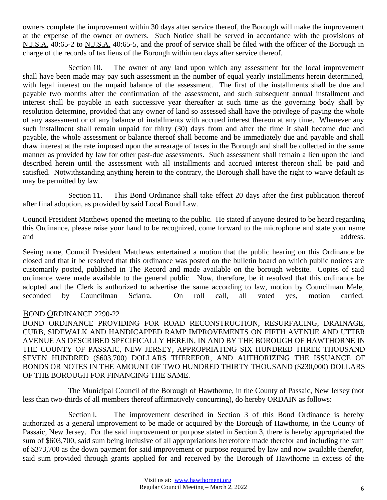owners complete the improvement within 30 days after service thereof, the Borough will make the improvement at the expense of the owner or owners. Such Notice shall be served in accordance with the provisions of N.J.S.A. 40:65-2 to N.J.S.A. 40:65-5, and the proof of service shall be filed with the officer of the Borough in charge of the records of tax liens of the Borough within ten days after service thereof.

Section 10. The owner of any land upon which any assessment for the local improvement shall have been made may pay such assessment in the number of equal yearly installments herein determined, with legal interest on the unpaid balance of the assessment. The first of the installments shall be due and payable two months after the confirmation of the assessment, and such subsequent annual installment and interest shall be payable in each successive year thereafter at such time as the governing body shall by resolution determine, provided that any owner of land so assessed shall have the privilege of paying the whole of any assessment or of any balance of installments with accrued interest thereon at any time. Whenever any such installment shall remain unpaid for thirty (30) days from and after the time it shall become due and payable, the whole assessment or balance thereof shall become and be immediately due and payable and shall draw interest at the rate imposed upon the arrearage of taxes in the Borough and shall be collected in the same manner as provided by law for other past-due assessments. Such assessment shall remain a lien upon the land described herein until the assessment with all installments and accrued interest thereon shall be paid and satisfied. Notwithstanding anything herein to the contrary, the Borough shall have the right to waive default as may be permitted by law.

Section 11. This Bond Ordinance shall take effect 20 days after the first publication thereof after final adoption, as provided by said Local Bond Law.

Council President Matthews opened the meeting to the public. He stated if anyone desired to be heard regarding this Ordinance, please raise your hand to be recognized, come forward to the microphone and state your name and address.

Seeing none, Council President Matthews entertained a motion that the public hearing on this Ordinance be closed and that it be resolved that this ordinance was posted on the bulletin board on which public notices are customarily posted, published in The Record and made available on the borough website. Copies of said ordinance were made available to the general public. Now, therefore, be it resolved that this ordinance be adopted and the Clerk is authorized to advertise the same according to law, motion by Councilman Mele, seconded by Councilman Sciarra. On roll call, all voted yes, motion carried.

#### BOND ORDINANCE 2290-22

BOND ORDINANCE PROVIDING FOR ROAD RECONSTRUCTION, RESURFACING, DRAINAGE, CURB, SIDEWALK AND HANDICAPPED RAMP IMPROVEMENTS ON FIFTH AVENUE AND UTTER AVENUE AS DESCRIBED SPECIFICALLY HEREIN, IN AND BY THE BOROUGH OF HAWTHORNE IN THE COUNTY OF PASSAIC, NEW JERSEY, APPROPRIATING SIX HUNDRED THREE THOUSAND SEVEN HUNDRED (\$603,700) DOLLARS THEREFOR, AND AUTHORIZING THE ISSUANCE OF BONDS OR NOTES IN THE AMOUNT OF TWO HUNDRED THIRTY THOUSAND (\$230,000) DOLLARS OF THE BOROUGH FOR FINANCING THE SAME.

The Municipal Council of the Borough of Hawthorne, in the County of Passaic, New Jersey (not less than two-thirds of all members thereof affirmatively concurring), do hereby ORDAIN as follows:

Section l. The improvement described in Section 3 of this Bond Ordinance is hereby authorized as a general improvement to be made or acquired by the Borough of Hawthorne, in the County of Passaic, New Jersey. For the said improvement or purpose stated in Section 3, there is hereby appropriated the sum of \$603,700, said sum being inclusive of all appropriations heretofore made therefor and including the sum of \$373,700 as the down payment for said improvement or purpose required by law and now available therefor, said sum provided through grants applied for and received by the Borough of Hawthorne in excess of the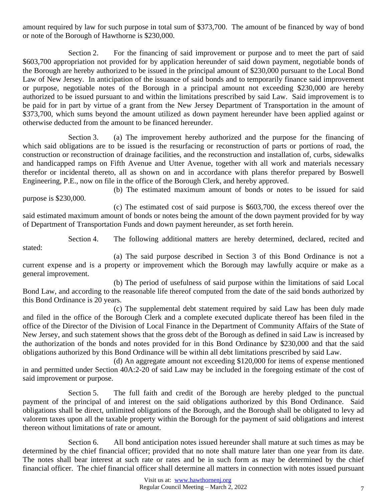amount required by law for such purpose in total sum of \$373,700. The amount of be financed by way of bond or note of the Borough of Hawthorne is \$230,000.

Section 2. For the financing of said improvement or purpose and to meet the part of said \$603,700 appropriation not provided for by application hereunder of said down payment, negotiable bonds of the Borough are hereby authorized to be issued in the principal amount of \$230,000 pursuant to the Local Bond Law of New Jersey. In anticipation of the issuance of said bonds and to temporarily finance said improvement or purpose, negotiable notes of the Borough in a principal amount not exceeding \$230,000 are hereby authorized to be issued pursuant to and within the limitations prescribed by said Law. Said improvement is to be paid for in part by virtue of a grant from the New Jersey Department of Transportation in the amount of \$373,700, which sums beyond the amount utilized as down payment hereunder have been applied against or otherwise deducted from the amount to be financed hereunder.

Section 3. (a) The improvement hereby authorized and the purpose for the financing of which said obligations are to be issued is the resurfacing or reconstruction of parts or portions of road, the construction or reconstruction of drainage facilities, and the reconstruction and installation of, curbs, sidewalks and handicapped ramps on Fifth Avenue and Utter Avenue, together with all work and materials necessary therefor or incidental thereto, all as shown on and in accordance with plans therefor prepared by Boswell Engineering, P.E., now on file in the office of the Borough Clerk, and hereby approved.

(b) The estimated maximum amount of bonds or notes to be issued for said purpose is \$230,000.

(c) The estimated cost of said purpose is \$603,700, the excess thereof over the said estimated maximum amount of bonds or notes being the amount of the down payment provided for by way of Department of Transportation Funds and down payment hereunder, as set forth herein.

Section 4. The following additional matters are hereby determined, declared, recited and stated:

(a) The said purpose described in Section 3 of this Bond Ordinance is not a current expense and is a property or improvement which the Borough may lawfully acquire or make as a general improvement.

(b) The period of usefulness of said purpose within the limitations of said Local Bond Law, and according to the reasonable life thereof computed from the date of the said bonds authorized by this Bond Ordinance is 20 years.

(c) The supplemental debt statement required by said Law has been duly made and filed in the office of the Borough Clerk and a complete executed duplicate thereof has been filed in the office of the Director of the Division of Local Finance in the Department of Community Affairs of the State of New Jersey, and such statement shows that the gross debt of the Borough as defined in said Law is increased by the authorization of the bonds and notes provided for in this Bond Ordinance by \$230,000 and that the said obligations authorized by this Bond Ordinance will be within all debt limitations prescribed by said Law.

(d) An aggregate amount not exceeding \$120,000 for items of expense mentioned in and permitted under Section 40A:2-20 of said Law may be included in the foregoing estimate of the cost of said improvement or purpose.

Section 5. The full faith and credit of the Borough are hereby pledged to the punctual payment of the principal of and interest on the said obligations authorized by this Bond Ordinance. Said obligations shall be direct, unlimited obligations of the Borough, and the Borough shall be obligated to levy ad valorem taxes upon all the taxable property within the Borough for the payment of said obligations and interest thereon without limitations of rate or amount.

Section 6. All bond anticipation notes issued hereunder shall mature at such times as may be determined by the chief financial officer; provided that no note shall mature later than one year from its date. The notes shall bear interest at such rate or rates and be in such form as may be determined by the chief financial officer. The chief financial officer shall determine all matters in connection with notes issued pursuant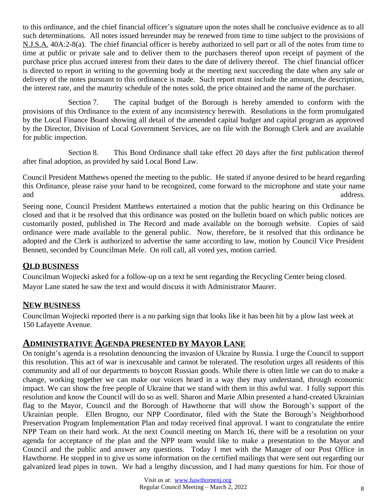to this ordinance, and the chief financial officer's signature upon the notes shall be conclusive evidence as to all such determinations. All notes issued hereunder may be renewed from time to time subject to the provisions of N.J.S.A. 40A:2-8(a). The chief financial officer is hereby authorized to sell part or all of the notes from time to time at public or private sale and to deliver them to the purchasers thereof upon receipt of payment of the purchase price plus accrued interest from their dates to the date of delivery thereof. The chief financial officer is directed to report in writing to the governing body at the meeting next succeeding the date when any sale or delivery of the notes pursuant to this ordinance is made. Such report must include the amount, the description, the interest rate, and the maturity schedule of the notes sold, the price obtained and the name of the purchaser.

Section 7. The capital budget of the Borough is hereby amended to conform with the provisions of this Ordinance to the extent of any inconsistency herewith. Resolutions in the form promulgated by the Local Finance Board showing all detail of the amended capital budget and capital program as approved by the Director, Division of Local Government Services, are on file with the Borough Clerk and are available for public inspection.

Section 8. This Bond Ordinance shall take effect 20 days after the first publication thereof after final adoption, as provided by said Local Bond Law.

Council President Matthews opened the meeting to the public. He stated if anyone desired to be heard regarding this Ordinance, please raise your hand to be recognized, come forward to the microphone and state your name and address.

Seeing none, Council President Matthews entertained a motion that the public hearing on this Ordinance be closed and that it be resolved that this ordinance was posted on the bulletin board on which public notices are customarily posted, published in The Record and made available on the borough website. Copies of said ordinance were made available to the general public. Now, therefore, be it resolved that this ordinance be adopted and the Clerk is authorized to advertise the same according to law, motion by Council Vice President Bennett, seconded by Councilman Mele. On roll call, all voted yes, motion carried.

## **OLD BUSINESS**

Councilman Wojtecki asked for a follow-up on a text he sent regarding the Recycling Center being closed. Mayor Lane stated he saw the text and would discuss it with Administrator Maurer.

## **NEW BUSINESS**

Councilman Wojtecki reported there is a no parking sign that looks like it has been hit by a plow last week at 150 Lafayette Avenue.

## **ADMINISTRATIVE AGENDA PRESENTED BY MAYOR LANE**

On tonight's agenda is a resolution denouncing the invasion of Ukraine by Russia. I urge the Council to support this resolution. This act of war is inexcusable and cannot be tolerated. The resolution urges all residents of this community and all of our departments to boycott Russian goods. While there is often little we can do to make a change, working together we can make our voices heard in a way they may understand, through economic impact. We can show the free people of Ukraine that we stand with them in this awful war. I fully support this resolution and know the Council will do so as well. Sharon and Marie Albin presented a hand-created Ukrainian flag to the Mayor, Council and the Borough of Hawthorne that will show the Borough's support of the Ukrainian people. Ellen Brogno, our NPP Coordinator, filed with the State the Borough's Neighborhood Preservation Program Implementation Plan and today received final approval. I want to congratulate the entire NPP Team on their hard work. At the next Council meeting on March 16, there will be a resolution on your agenda for acceptance of the plan and the NPP team would like to make a presentation to the Mayor and Council and the public and answer any questions. Today I met with the Manager of our Post Office in Hawthorne. He stopped in to give us some information on the certified mailings that were sent out regarding our galvanized lead pipes in town. We had a lengthy discussion, and I had many questions for him. For those of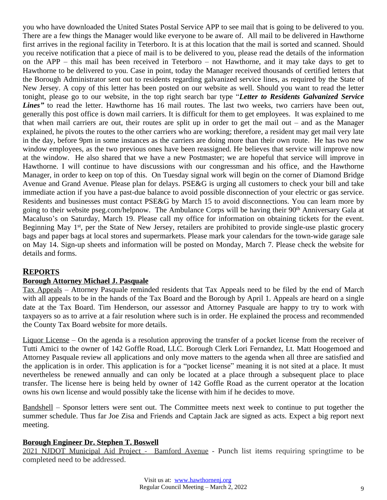you who have downloaded the United States Postal Service APP to see mail that is going to be delivered to you. There are a few things the Manager would like everyone to be aware of. All mail to be delivered in Hawthorne first arrives in the regional facility in Teterboro. It is at this location that the mail is sorted and scanned. Should you receive notification that a piece of mail is to be delivered to you, please read the details of the information on the APP – this mail has been received in Teterboro – not Hawthorne, and it may take days to get to Hawthorne to be delivered to you. Case in point, today the Manager received thousands of certified letters that the Borough Administrator sent out to residents regarding galvanized service lines, as required by the State of New Jersey. A copy of this letter has been posted on our website as well. Should you want to read the letter tonight, please go to our website, in the top right search bar type "*Letter to Residents Galvanized Service Lines*<sup>"</sup> to read the letter. Hawthorne has 16 mail routes. The last two weeks, two carriers have been out, generally this post office is down mail carriers. It is difficult for them to get employees. It was explained to me that when mail carriers are out, their routes are split up in order to get the mail out – and as the Manager explained, he pivots the routes to the other carriers who are working; therefore, a resident may get mail very late in the day, before 9pm in some instances as the carriers are doing more than their own route. He has two new window employees, as the two previous ones have been reassigned. He believes that service will improve now at the window. He also shared that we have a new Postmaster; we are hopeful that service will improve in Hawthorne. I will continue to have discussions with our congressman and his office, and the Hawthorne Manager, in order to keep on top of this. On Tuesday signal work will begin on the corner of Diamond Bridge Avenue and Grand Avenue. Please plan for delays. PSE&G is urging all customers to check your bill and take immediate action if you have a past-due balance to avoid possible disconnection of your electric or gas service. Residents and businesses must contact PSE&G by March 15 to avoid disconnections. You can learn more by going to their website pseg.com/helpnow. The Ambulance Corps will be having their 90th Anniversary Gala at Macaluso's on Saturday, March 19. Please call my office for information on obtaining tickets for the event. Beginning May 1<sup>st</sup>, per the State of New Jersey, retailers are prohibited to provide single-use plastic grocery bags and paper bags at local stores and supermarkets. Please mark your calendars for the town-wide garage sale on May 14. Sign-up sheets and information will be posted on Monday, March 7. Please check the website for details and forms.

## **REPORTS**

#### **Borough Attorney Michael J. Pasquale**

Tax Appeals – Attorney Pasquale reminded residents that Tax Appeals need to be filed by the end of March with all appeals to be in the hands of the Tax Board and the Borough by April 1. Appeals are heard on a single date at the Tax Board. Tim Henderson, our assessor and Attorney Pasquale are happy to try to work with taxpayers so as to arrive at a fair resolution where such is in order. He explained the process and recommended the County Tax Board website for more details.

Liquor License – On the agenda is a resolution approving the transfer of a pocket license from the receiver of Tutti Amici to the owner of 142 Goffle Road, LLC. Borough Clerk Lori Fernandez, Lt. Matt Hoogemoed and Attorney Pasquale review all applications and only move matters to the agenda when all three are satisfied and the application is in order. This application is for a "pocket license" meaning it is not sited at a place. It must nevertheless be renewed annually and can only be located at a place through a subsequent place to place transfer. The license here is being held by owner of 142 Goffle Road as the current operator at the location owns his own license and would possibly take the license with him if he decides to move.

Bandshell – Sponsor letters were sent out. The Committee meets next week to continue to put together the summer schedule. Thus far Joe Zisa and Friends and Captain Jack are signed as acts. Expect a big report next meeting.

#### **Borough Engineer Dr. Stephen T. Boswell**

2021 NJDOT Municipal Aid Project - Bamford Avenue - Punch list items requiring springtime to be completed need to be addressed.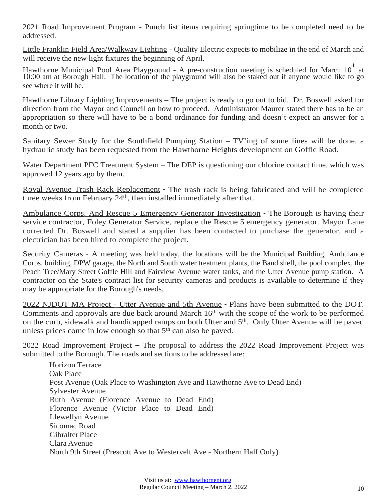2021 Road Improvement Program - Punch list items requiring springtime to be completed need to be addressed.

Little Franklin Field Area/Walkway Lighting - Quality Electric expects to mobilize in the end of March and will receive the new light fixtures the beginning of April.

Hawthorne Municipal Pool Area Playground - A pre-construction meeting is scheduled for March 10<sup>th</sup> at 10:00 am at Borough Hall. The location of the playground will also be staked out if anyone would like to go see where it will be.

Hawthorne Library Lighting Improvements – The project is ready to go out to bid. Dr. Boswell asked for direction from the Mayor and Council on how to proceed. Administrator Maurer stated there has to be an appropriation so there will have to be a bond ordinance for funding and doesn't expect an answer for a month or two.

Sanitary Sewer Study for the Southfield Pumping Station – TV'ing of some lines will be done, a hydraulic study has been requested from the Hawthorne Heights development on Goffle Road.

Water Department PFC Treatment System – The DEP is questioning our chlorine contact time, which was approved 12 years ago by them.

Royal Avenue Trash Rack Replacement - The trash rack is being fabricated and will be completed three weeks from February 24<sup>th</sup>, then installed immediately after that.

Ambulance Corps. And Rescue 5 Emergency Generator Investigation - The Borough is having their service contractor, Foley Generator Service, replace the Rescue 5 emergency generator. Mayor Lane corrected Dr. Boswell and stated a supplier has been contacted to purchase the generator, and a electrician has been hired to complete the project.

Security Cameras - A meeting was held today, the locations will be the Municipal Building, Ambulance Corps. building, DPW garage, the North and South water treatment plants, the Band shell, the pool complex, the Peach Tree/Mary Street Goffle Hill and Fairview Avenue water tanks, and the Utter Avenue pump station. A contractor on the State's contract list for security cameras and products is available to determine if they may be appropriate for the Borough's needs.

2022 NJDOT MA Project - Utter Avenue and 5th Avenue - Plans have been submitted to the DOT. Comments and approvals are due back around March 16<sup>th</sup> with the scope of the work to be performed on the curb, sidewalk and handicapped ramps on both Utter and 5<sup>th</sup>. Only Utter Avenue will be paved unless prices come in low enough so that  $5<sup>th</sup>$  can also be paved.

2022 Road Improvement Project – The proposal to address the 2022 Road Improvement Project was submitted to the Borough. The roads and sections to be addressed are:

Horizon Terrace Oak Place Post Avenue (Oak Place to Washington Ave and Hawthorne Ave to Dead End) Sylvester Avenue Ruth Avenue (Florence Avenue to Dead End) Florence Avenue (Victor Place to Dead End) Llewellyn Avenue Sicomac Road Gibralter Place Clara Avenue North 9th Street (Prescott Ave to Westervelt Ave - Northern Half Only)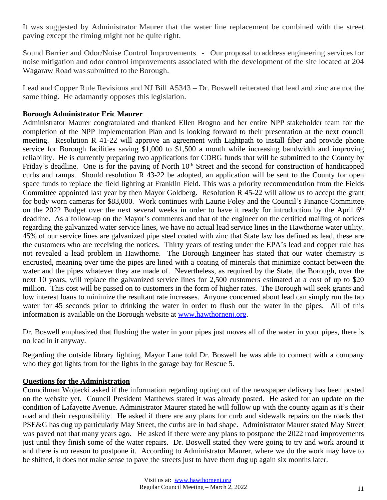It was suggested by Administrator Maurer that the water line replacement be combined with the street paving except the timing might not be quite right.

Sound Barrier and Odor/Noise Control Improvements - Our proposal to address engineering services for noise mitigation and odor control improvements associated with the development of the site located at 204 Wagaraw Road was submitted to the Borough.

Lead and Copper Rule Revisions and NJ Bill A5343 – Dr. Boswell reiterated that lead and zinc are not the same thing. He adamantly opposes this legislation.

## **Borough Administrator Eric Maurer**

Administrator Maurer congratulated and thanked Ellen Brogno and her entire NPP stakeholder team for the completion of the NPP Implementation Plan and is looking forward to their presentation at the next council meeting. Resolution R 41-22 will approve an agreement with Lightpath to install fiber and provide phone service for Borough facilities saving \$1,000 to \$1,500 a month while increasing bandwidth and improving reliability. He is currently preparing two applications for CDBG funds that will be submitted to the County by Friday's deadline. One is for the paving of North 10<sup>th</sup> Street and the second for construction of handicapped curbs and ramps. Should resolution R 43-22 be adopted, an application will be sent to the County for open space funds to replace the field lighting at Franklin Field. This was a priority recommendation from the Fields Committee appointed last year by then Mayor Goldberg. Resolution R 45-22 will allow us to accept the grant for body worn cameras for \$83,000. Work continues with Laurie Foley and the Council's Finance Committee on the 2022 Budget over the next several weeks in order to have it ready for introduction by the April 6<sup>th</sup> deadline. As a follow-up on the Mayor's comments and that of the engineer on the certified mailing of notices regarding the galvanized water service lines, we have no actual lead service lines in the Hawthorne water utility. 45% of our service lines are galvanized pipe steel coated with zinc that State law has defined as lead, these are the customers who are receiving the notices. Thirty years of testing under the EPA's lead and copper rule has not revealed a lead problem in Hawthorne. The Borough Engineer has stated that our water chemistry is encrusted, meaning over time the pipes are lined with a coating of minerals that minimize contact between the water and the pipes whatever they are made of. Nevertheless, as required by the State, the Borough, over the next 10 years, will replace the galvanized service lines for 2,500 customers estimated at a cost of up to \$20 million. This cost will be passed on to customers in the form of higher rates. The Borough will seek grants and low interest loans to minimize the resultant rate increases. Anyone concerned about lead can simply run the tap water for 45 seconds prior to drinking the water in order to flush out the water in the pipes. All of this information is available on the Borough website at [www.hawthornenj.org.](http://www.hawthornenj.org)

Dr. Boswell emphasized that flushing the water in your pipes just moves all of the water in your pipes, there is no lead in it anyway.

Regarding the outside library lighting, Mayor Lane told Dr. Boswell he was able to connect with a company who they got lights from for the lights in the garage bay for Rescue 5.

#### **Questions for the Administration**

Councilman Wojtecki asked if the information regarding opting out of the newspaper delivery has been posted on the website yet. Council President Matthews stated it was already posted. He asked for an update on the condition of Lafayette Avenue. Administrator Maurer stated he will follow up with the county again as it's their road and their responsibility. He asked if there are any plans for curb and sidewalk repairs on the roads that PSE&G has dug up particularly May Street, the curbs are in bad shape. Administrator Maurer stated May Street was paved not that many years ago. He asked if there were any plans to postpone the 2022 road improvements just until they finish some of the water repairs. Dr. Boswell stated they were going to try and work around it and there is no reason to postpone it. According to Administrator Maurer, where we do the work may have to be shifted, it does not make sense to pave the streets just to have them dug up again six months later.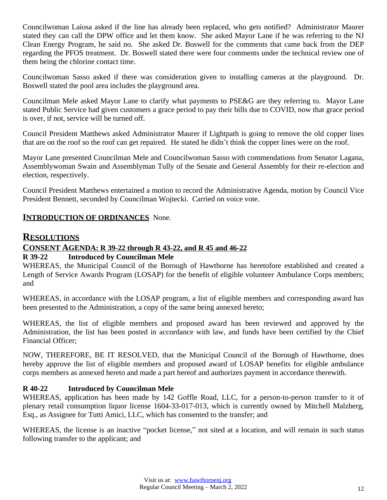Councilwoman Laiosa asked if the line has already been replaced, who gets notified? Administrator Maurer stated they can call the DPW office and let them know. She asked Mayor Lane if he was referring to the NJ Clean Energy Program, he said no. She asked Dr. Boswell for the comments that came back from the DEP regarding the PFOS treatment. Dr. Boswell stated there were four comments under the technical review one of them being the chlorine contact time.

Councilwoman Sasso asked if there was consideration given to installing cameras at the playground. Dr. Boswell stated the pool area includes the playground area.

Councilman Mele asked Mayor Lane to clarify what payments to PSE&G are they referring to. Mayor Lane stated Public Service had given customers a grace period to pay their bills due to COVID, now that grace period is over, if not, service will be turned off.

Council President Matthews asked Administrator Maurer if Lightpath is going to remove the old copper lines that are on the roof so the roof can get repaired. He stated he didn't think the copper lines were on the roof.

Mayor Lane presented Councilman Mele and Councilwoman Sasso with commendations from Senator Lagana, Assemblywoman Swain and Assemblyman Tully of the Senate and General Assembly for their re-election and election, respectively.

Council President Matthews entertained a motion to record the Administrative Agenda, motion by Council Vice President Bennett, seconded by Councilman Wojtecki. Carried on voice vote.

## **INTRODUCTION OF ORDINANCES** None.

## **RESOLUTIONS**

## **CONSENT AGENDA: R 39-22 through R 43-22, and R 45 and 46-22**

#### **R 39-22 Introduced by Councilman Mele**

WHEREAS, the Municipal Council of the Borough of Hawthorne has heretofore established and created a Length of Service Awards Program (LOSAP) for the benefit of eligible volunteer Ambulance Corps members; and

WHEREAS, in accordance with the LOSAP program, a list of eligible members and corresponding award has been presented to the Administration, a copy of the same being annexed hereto;

WHEREAS, the list of eligible members and proposed award has been reviewed and approved by the Administration, the list has been posted in accordance with law, and funds have been certified by the Chief Financial Officer;

NOW, THEREFORE, BE IT RESOLVED, that the Municipal Council of the Borough of Hawthorne, does hereby approve the list of eligible members and proposed award of LOSAP benefits for eligible ambulance corps members as annexed hereto and made a part hereof and authorizes payment in accordance therewith.

#### **R 40-22 Introduced by Councilman Mele**

WHEREAS, application has been made by 142 Goffle Road, LLC, for a person-to-person transfer to it of plenary retail consumption liquor license 1604-33-017-013, which is currently owned by Mitchell Malzberg, Esq., as Assignee for Tutti Amici, LLC, which has consented to the transfer; and

WHEREAS, the license is an inactive "pocket license," not sited at a location, and will remain in such status following transfer to the applicant; and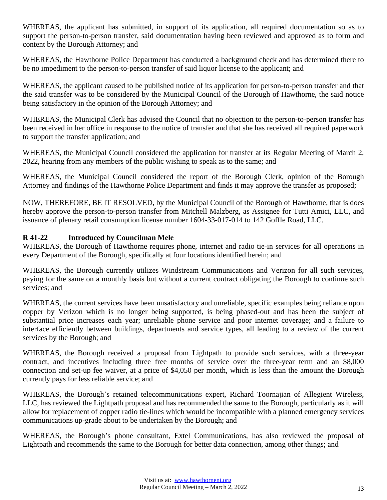WHEREAS, the applicant has submitted, in support of its application, all required documentation so as to support the person-to-person transfer, said documentation having been reviewed and approved as to form and content by the Borough Attorney; and

WHEREAS, the Hawthorne Police Department has conducted a background check and has determined there to be no impediment to the person-to-person transfer of said liquor license to the applicant; and

WHEREAS, the applicant caused to be published notice of its application for person-to-person transfer and that the said transfer was to be considered by the Municipal Council of the Borough of Hawthorne, the said notice being satisfactory in the opinion of the Borough Attorney; and

WHEREAS, the Municipal Clerk has advised the Council that no objection to the person-to-person transfer has been received in her office in response to the notice of transfer and that she has received all required paperwork to support the transfer application; and

WHEREAS, the Municipal Council considered the application for transfer at its Regular Meeting of March 2, 2022, hearing from any members of the public wishing to speak as to the same; and

WHEREAS, the Municipal Council considered the report of the Borough Clerk, opinion of the Borough Attorney and findings of the Hawthorne Police Department and finds it may approve the transfer as proposed;

NOW, THEREFORE, BE IT RESOLVED, by the Municipal Council of the Borough of Hawthorne, that is does hereby approve the person-to-person transfer from Mitchell Malzberg, as Assignee for Tutti Amici, LLC, and issuance of plenary retail consumption license number 1604-33-017-014 to 142 Goffle Road, LLC.

## **R 41-22 Introduced by Councilman Mele**

WHEREAS, the Borough of Hawthorne requires phone, internet and radio tie-in services for all operations in every Department of the Borough, specifically at four locations identified herein; and

WHEREAS, the Borough currently utilizes Windstream Communications and Verizon for all such services, paying for the same on a monthly basis but without a current contract obligating the Borough to continue such services; and

WHEREAS, the current services have been unsatisfactory and unreliable, specific examples being reliance upon copper by Verizon which is no longer being supported, is being phased-out and has been the subject of substantial price increases each year; unreliable phone service and poor internet coverage; and a failure to interface efficiently between buildings, departments and service types, all leading to a review of the current services by the Borough; and

WHEREAS, the Borough received a proposal from Lightpath to provide such services, with a three-year contract, and incentives including three free months of service over the three-year term and an \$8,000 connection and set-up fee waiver, at a price of \$4,050 per month, which is less than the amount the Borough currently pays for less reliable service; and

WHEREAS, the Borough's retained telecommunications expert, Richard Toornajian of Allegient Wireless, LLC, has reviewed the Lightpath proposal and has recommended the same to the Borough, particularly as it will allow for replacement of copper radio tie-lines which would be incompatible with a planned emergency services communications up-grade about to be undertaken by the Borough; and

WHEREAS, the Borough's phone consultant, Extel Communications, has also reviewed the proposal of Lightpath and recommends the same to the Borough for better data connection, among other things; and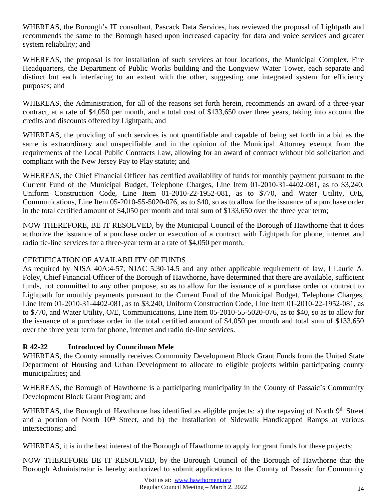WHEREAS, the Borough's IT consultant, Pascack Data Services, has reviewed the proposal of Lightpath and recommends the same to the Borough based upon increased capacity for data and voice services and greater system reliability; and

WHEREAS, the proposal is for installation of such services at four locations, the Municipal Complex, Fire Headquarters, the Department of Public Works building and the Longview Water Tower, each separate and distinct but each interfacing to an extent with the other, suggesting one integrated system for efficiency purposes; and

WHEREAS, the Administration, for all of the reasons set forth herein, recommends an award of a three-year contract, at a rate of \$4,050 per month, and a total cost of \$133,650 over three years, taking into account the credits and discounts offered by Lightpath; and

WHEREAS, the providing of such services is not quantifiable and capable of being set forth in a bid as the same is extraordinary and unspecifiable and in the opinion of the Municipal Attorney exempt from the requirements of the Local Public Contracts Law, allowing for an award of contract without bid solicitation and compliant with the New Jersey Pay to Play statute; and

WHEREAS, the Chief Financial Officer has certified availability of funds for monthly payment pursuant to the Current Fund of the Municipal Budget, Telephone Charges, Line Item 01-2010-31-4402-081, as to \$3,240, Uniform Construction Code, Line Item 01-2010-22-1952-081, as to \$770, and Water Utility, O/E, Communications, Line Item 05-2010-55-5020-076, as to \$40, so as to allow for the issuance of a purchase order in the total certified amount of \$4,050 per month and total sum of \$133,650 over the three year term;

NOW THEREFORE, BE IT RESOLVED, by the Municipal Council of the Borough of Hawthorne that it does authorize the issuance of a purchase order or execution of a contract with Lightpath for phone, internet and radio tie-line services for a three-year term at a rate of \$4,050 per month.

## CERTIFICATION OF AVAILABILITY OF FUNDS

As required by NJSA 40A:4-57, NJAC 5:30-14.5 and any other applicable requirement of law, I Laurie A. Foley, Chief Financial Officer of the Borough of Hawthorne, have determined that there are available, sufficient funds, not committed to any other purpose, so as to allow for the issuance of a purchase order or contract to Lightpath for monthly payments pursuant to the Current Fund of the Municipal Budget, Telephone Charges, Line Item 01-2010-31-4402-081, as to \$3,240, Uniform Construction Code, Line Item 01-2010-22-1952-081, as to \$770, and Water Utility, O/E, Communications, Line Item 05-2010-55-5020-076, as to \$40, so as to allow for the issuance of a purchase order in the total certified amount of \$4,050 per month and total sum of \$133,650 over the three year term for phone, internet and radio tie-line services.

## **R 42-22 Introduced by Councilman Mele**

WHEREAS, the County annually receives Community Development Block Grant Funds from the United State Department of Housing and Urban Development to allocate to eligible projects within participating county municipalities; and

WHEREAS, the Borough of Hawthorne is a participating municipality in the County of Passaic's Community Development Block Grant Program; and

WHEREAS, the Borough of Hawthorne has identified as eligible projects: a) the repaving of North 9th Street and a portion of North 10<sup>th</sup> Street, and b) the Installation of Sidewalk Handicapped Ramps at various intersections; and

WHEREAS, it is in the best interest of the Borough of Hawthorne to apply for grant funds for these projects;

NOW THEREFORE BE IT RESOLVED, by the Borough Council of the Borough of Hawthorne that the Borough Administrator is hereby authorized to submit applications to the County of Passaic for Community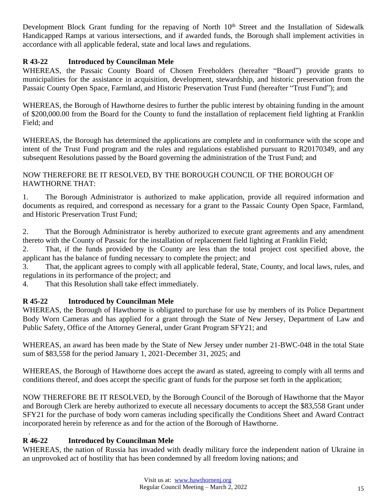Development Block Grant funding for the repaving of North 10<sup>th</sup> Street and the Installation of Sidewalk Handicapped Ramps at various intersections, and if awarded funds, the Borough shall implement activities in accordance with all applicable federal, state and local laws and regulations.

## **R 43-22 Introduced by Councilman Mele**

WHEREAS, the Passaic County Board of Chosen Freeholders (hereafter "Board") provide grants to municipalities for the assistance in acquisition, development, stewardship, and historic preservation from the Passaic County Open Space, Farmland, and Historic Preservation Trust Fund (hereafter "Trust Fund"); and

WHEREAS, the Borough of Hawthorne desires to further the public interest by obtaining funding in the amount of \$200,000.00 from the Board for the County to fund the installation of replacement field lighting at Franklin Field; and

WHEREAS, the Borough has determined the applications are complete and in conformance with the scope and intent of the Trust Fund program and the rules and regulations established pursuant to R20170349, and any subsequent Resolutions passed by the Board governing the administration of the Trust Fund; and

## NOW THEREFORE BE IT RESOLVED, BY THE BOROUGH COUNCIL OF THE BOROUGH OF HAWTHORNE THAT:

1. The Borough Administrator is authorized to make application, provide all required information and documents as required, and correspond as necessary for a grant to the Passaic County Open Space, Farmland, and Historic Preservation Trust Fund;

2. That the Borough Administrator is hereby authorized to execute grant agreements and any amendment thereto with the County of Passaic for the installation of replacement field lighting at Franklin Field;

2. That, if the funds provided by the County are less than the total project cost specified above, the applicant has the balance of funding necessary to complete the project; and

3. That, the applicant agrees to comply with all applicable federal, State, County, and local laws, rules, and regulations in its performance of the project; and

4. That this Resolution shall take effect immediately.

## **R 45-22 Introduced by Councilman Mele**

WHEREAS, the Borough of Hawthorne is obligated to purchase for use by members of its Police Department Body Worn Cameras and has applied for a grant through the State of New Jersey, Department of Law and Public Safety, Office of the Attorney General, under Grant Program SFY21; and

WHEREAS, an award has been made by the State of New Jersey under number 21-BWC-048 in the total State sum of \$83,558 for the period January 1, 2021-December 31, 2025; and

WHEREAS, the Borough of Hawthorne does accept the award as stated, agreeing to comply with all terms and conditions thereof, and does accept the specific grant of funds for the purpose set forth in the application;

NOW THEREFORE BE IT RESOLVED, by the Borough Council of the Borough of Hawthorne that the Mayor and Borough Clerk are hereby authorized to execute all necessary documents to accept the \$83,558 Grant under SFY21 for the purchase of body worn cameras including specifically the Conditions Sheet and Award Contract incorporated herein by reference as and for the action of the Borough of Hawthorne.

#### . **R 46-22 Introduced by Councilman Mele**

WHEREAS, the nation of Russia has invaded with deadly military force the independent nation of Ukraine in an unprovoked act of hostility that has been condemned by all freedom loving nations; and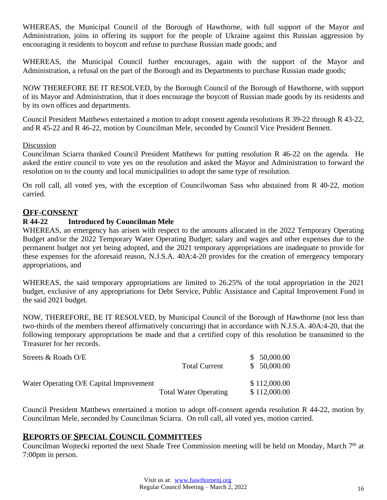WHEREAS, the Municipal Council of the Borough of Hawthorne, with full support of the Mayor and Administration, joins in offering its support for the people of Ukraine against this Russian aggression by encouraging it residents to boycott and refuse to purchase Russian made goods; and

WHEREAS, the Municipal Council further encourages, again with the support of the Mayor and Administration, a refusal on the part of the Borough and its Departments to purchase Russian made goods;

NOW THEREFORE BE IT RESOLVED, by the Borough Council of the Borough of Hawthorne, with support of its Mayor and Administration, that it does encourage the boycott of Russian made goods by its residents and by its own offices and departments.

Council President Matthews entertained a motion to adopt consent agenda resolutions R 39-22 through R 43-22, and R 45-22 and R 46-22, motion by Councilman Mele, seconded by Council Vice President Bennett.

#### Discussion

Councilman Sciarra thanked Council President Matthews for putting resolution R 46-22 on the agenda. He asked the entire council to vote yes on the resolution and asked the Mayor and Administration to forward the resolution on to the county and local municipalities to adopt the same type of resolution.

On roll call, all voted yes, with the exception of Councilwoman Sass who abstained from R 40-22, motion carried.

#### **OFF-CONSENT**

#### **R 44-22 Introduced by Councilman Mele**

WHEREAS, an emergency has arisen with respect to the amounts allocated in the 2022 Temporary Operating Budget and/or the 2022 Temporary Water Operating Budget; salary and wages and other expenses due to the permanent budget not yet being adopted, and the 2021 temporary appropriations are inadequate to provide for these expenses for the aforesaid reason, N.J.S.A. 40A:4-20 provides for the creation of emergency temporary appropriations, and

WHEREAS, the said temporary appropriations are limited to 26.25% of the total appropriation in the 2021 budget, exclusive of any appropriations for Debt Service, Public Assistance and Capital Improvement Fund in the said 2021 budget.

NOW, THEREFORE, BE IT RESOLVED, by Municipal Council of the Borough of Hawthorne (not less than two-thirds of the members thereof affirmatively concurring) that in accordance with N.J.S.A. 40A:4-20, that the following temporary appropriations be made and that a certified copy of this resolution be transmitted to the Treasurer for her records.

| Streets & Roads O/E                     | <b>Total Current</b>         | \$50,000.00<br>\$50,000.00   |
|-----------------------------------------|------------------------------|------------------------------|
| Water Operating O/E Capital Improvement | <b>Total Water Operating</b> | \$112,000.00<br>\$112,000.00 |

Council President Matthews entertained a motion to adopt off-consent agenda resolution R 44-22, motion by Councilman Mele, seconded by Councilman Sciarra. On roll call, all voted yes, motion carried.

## **REPORTS OF SPECIAL COUNCIL COMMITTEES**

Councilman Wojtecki reported the next Shade Tree Commission meeting will be held on Monday, March 7<sup>th</sup> at 7:00pm in person.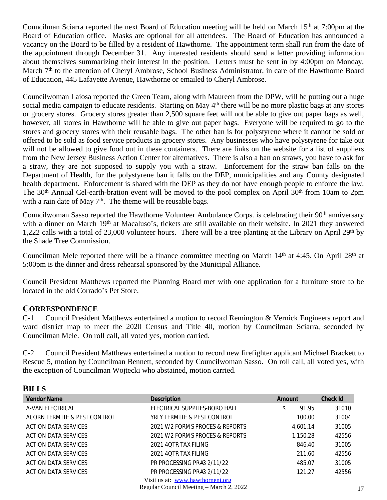Councilman Sciarra reported the next Board of Education meeting will be held on March  $15<sup>th</sup>$  at 7:00pm at the Board of Education office. Masks are optional for all attendees. The Board of Education has announced a vacancy on the Board to be filled by a resident of Hawthorne. The appointment term shall run from the date of the appointment through December 31. Any interested residents should send a letter providing information about themselves summarizing their interest in the position. Letters must be sent in by 4:00pm on Monday, March 7<sup>th</sup> to the attention of Cheryl Ambrose, School Business Administrator, in care of the Hawthorne Board of Education, 445 Lafayette Avenue, Hawthorne or emailed to Cheryl Ambrose.

Councilwoman Laiosa reported the Green Team, along with Maureen from the DPW, will be putting out a huge social media campaign to educate residents. Starting on May 4<sup>th</sup> there will be no more plastic bags at any stores or grocery stores. Grocery stores greater than 2,500 square feet will not be able to give out paper bags as well, however, all stores in Hawthorne will be able to give out paper bags. Everyone will be required to go to the stores and grocery stores with their reusable bags. The other ban is for polystyrene where it cannot be sold or offered to be sold as food service products in grocery stores. Any businesses who have polystyrene for take out will not be allowed to give food out in these containers. There are links on the website for a list of suppliers from the New Jersey Business Action Center for alternatives. There is also a ban on straws, you have to ask for a straw, they are not supposed to supply you with a straw. Enforcement for the straw ban falls on the Department of Health, for the polystyrene ban it falls on the DEP, municipalities and any County designated health department. Enforcement is shared with the DEP as they do not have enough people to enforce the law. The 30<sup>th</sup> Annual Cel-earth-bration event will be moved to the pool complex on April 30<sup>th</sup> from 10am to 2pm with a rain date of May  $7<sup>th</sup>$ . The theme will be reusable bags.

Councilwoman Sasso reported the Hawthorne Volunteer Ambulance Corps. is celebrating their 90th anniversary with a dinner on March 19<sup>th</sup> at Macaluso's, tickets are still available on their website. In 2021 they answered 1,222 calls with a total of 23,000 volunteer hours. There will be a tree planting at the Library on April 29<sup>th</sup> by the Shade Tree Commission.

Councilman Mele reported there will be a finance committee meeting on March 14<sup>th</sup> at 4:45. On April 28<sup>th</sup> at 5:00pm is the dinner and dress rehearsal sponsored by the Municipal Alliance.

Council President Matthews reported the Planning Board met with one application for a furniture store to be located in the old Corrado's Pet Store.

## **CORRESPONDENCE**

C-1 Council President Matthews entertained a motion to record Remington & Vernick Engineers report and ward district map to meet the 2020 Census and Title 40, motion by Councilman Sciarra, seconded by Councilman Mele. On roll call, all voted yes, motion carried.

C-2 Council President Matthews entertained a motion to record new firefighter applicant Michael Brackett to Rescue 5, motion by Councilman Bennett, seconded by Councilwoman Sasso. On roll call, all voted yes, with the exception of Councilman Wojtecki who abstained, motion carried.

| <b>Vendor Name</b>           | <b>Description</b>               | Amount      | <b>Check Id</b> |
|------------------------------|----------------------------------|-------------|-----------------|
| A-VAN ELECTRICAL             | ELECTRICAL SUPPLIES-BORO HALL    | 91.95<br>\$ | 31010           |
| ACORN TERMITE & PEST CONTROL | YRLY TERMITE & PEST CONTROL      | 100.00      | 31004           |
| <b>ACTION DATA SERVICES</b>  | 2021 W2 FORMS PROCES & REPORTS   | 4.601.14    | 31005           |
| <b>ACTION DATA SERVICES</b>  | 2021 W2 FORMS PROCES & REPORTS   | 1,150.28    | 42556           |
| ACTION DATA SERVICES         | 2021 4OTR TAX FILING             | 846.40      | 31005           |
| <b>ACTION DATA SERVICES</b>  | 2021 4OTR TAX FILING             | 211.60      | 42556           |
| <b>ACTION DATA SERVICES</b>  | PR PROCESSING PR#3 2/11/22       | 485.07      | 31005           |
| <b>ACTION DATA SERVICES</b>  | PR PROCESSING PR#3 2/11/22       | 121.27      | 42556           |
|                              | Visit us at: www.hawthornenj.org |             |                 |
|                              | <b>D</b> 1 Q '11 J 14 10 0000    |             |                 |

Regular Council Meeting – March 2, 2022 17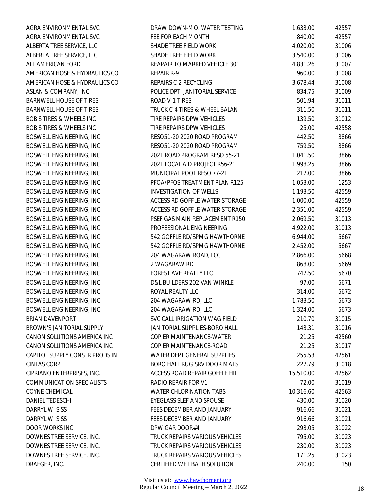| AGRA ENVIRONMENTAL SVC              | DRAW DOWN-MO. WATER TESTING     | 1,633.00  | 42557 |
|-------------------------------------|---------------------------------|-----------|-------|
| AGRA ENVIRONMENTAL SVC              | FEE FOR EACH MONTH              | 840.00    | 42557 |
| ALBERTA TREE SERVICE, LLC           | SHADE TREE FIELD WORK           | 4,020.00  | 31006 |
| ALBERTA TREE SERVICE, LLC           | SHADE TREE FIELD WORK           | 3,540.00  | 31006 |
| ALL AMERICAN FORD                   | REAPAIR TO MARKED VEHICLE 301   | 4,831.26  | 31007 |
| AMERICAN HOSE & HYDRAULICS CO       | REPAIR R-9                      | 960.00    | 31008 |
| AMERICAN HOSE & HYDRAULICS CO       | REPAIRS C-2 RECYCLING           | 3,678.44  | 31008 |
| ASLAN & COMPANY, INC.               | POLICE DPT. JANITORIAL SERVICE  | 834.75    | 31009 |
| BARNWELL HOUSE OF TIRES             | ROAD V-1 TIRES                  | 501.94    | 31011 |
| <b>BARNWELL HOUSE OF TIRES</b>      | TRUCK C-4 TIRES & WHEEL BALAN   | 311.50    | 31011 |
| <b>BOB'S TIRES &amp; WHEELS INC</b> | TIRE REPAIRS DPW VEHICLES       | 139.50    | 31012 |
| <b>BOB'S TIRES &amp; WHEELS INC</b> | TIRE REPAIRS DPW VEHICLES       | 25.00     | 42558 |
| BOSWELL ENGINEERING, INC            | RESO51-20 2020 ROAD PROGRAM     | 442.50    | 3866  |
| BOSWELL ENGINEERING, INC            | RESO51-20 2020 ROAD PROGRAM     | 759.50    | 3866  |
| BOSWELL ENGINEERING, INC            | 2021 ROAD PROGRAM RESO 55-21    | 1,041.50  | 3866  |
| BOSWELL ENGINEERING, INC            | 2021 LOCAL AID PROJECT R56-21   | 1,998.25  | 3866  |
| BOSWELL ENGINEERING, INC            | MUNICIPAL POOL RESO 77-21       | 217.00    | 3866  |
| BOSWELL ENGINEERING, INC            | PFOA/PFOS TREATMENT PLAN R125   | 1,053.00  | 1253  |
| BOSWELL ENGINEERING, INC            | <b>INVESTIGATION OF WELLS</b>   | 1,193.50  | 42559 |
| BOSWELL ENGINEERING, INC            | ACCESS RD GOFFLE WATER STORAGE  | 1,000.00  | 42559 |
| BOSWELL ENGINEERING, INC            | ACCESS RD GOFFLE WATER STORAGE  | 2,351.00  | 42559 |
| BOSWELL ENGINEERING, INC            | PSEF GAS MAIN REPLACEMENT R150  | 2,069.50  | 31013 |
| BOSWELL ENGINEERING, INC            | PROFESSIONAL ENGINEERING        | 4,922.00  | 31013 |
| BOSWELL ENGINEERING, INC            | 542 GOFFLE RD/SPMG HAWTHORNE    | 6,944.00  | 5667  |
| BOSWELL ENGINEERING, INC            | 542 GOFFLE RD/SPMG HAWTHORNE    | 2,452.00  | 5667  |
| BOSWELL ENGINEERING, INC            | 204 WAGARAW ROAD, LCC           | 2,866.00  | 5668  |
| BOSWELL ENGINEERING, INC            | 2 WAGARAW RD                    | 868.00    | 5669  |
| BOSWELL ENGINEERING, INC            | FOREST AVE REALTY LLC           | 747.50    | 5670  |
| BOSWELL ENGINEERING, INC            | D&L BUILDERS 202 VAN WINKLE     | 97.00     | 5671  |
| BOSWELL ENGINEERING, INC            | ROYAL REALTY LLC                | 314.00    | 5672  |
| BOSWELL ENGINEERING, INC            | 204 WAGARAW RD, LLC             | 1,783.50  | 5673  |
| <b>BOSWELL ENGINEERING, INC</b>     | 204 WAGARAW RD, LLC             | 1,324.00  | 5673  |
| BRIAN DAVENPORT                     | SVC CALL IRRIGATION WAG FIELD   | 210.70    | 31015 |
| BROWN'S JANITORIAL SUPPLY           | JANITORIAL SUPPLIES-BORO HALL   | 143.31    | 31016 |
| CANON SOLUTIONS AMERICA INC         | COPIER MAINTENANCE-WATER        | 21.25     | 42560 |
| CANON SOLUTIONS AMERICA INC         | COPIER MAINTENANCE-ROAD         | 21.25     | 31017 |
| CAPITOL SUPPLY CONSTR PRODS IN      | WATER DEPT GENERAL SUPPLIES     | 255.53    | 42561 |
| <b>CINTAS CORP</b>                  | BORO HALL RUG SRV DOOR MATS     | 227.79    | 31018 |
| CIPRIANO ENTERPRISES, INC.          | ACCESS ROAD REPAIR GOFFLE HILL  | 15,510.00 | 42562 |
| COMMUNICATION SPECIALISTS           | RADIO REPAIR FOR V1             | 72.00     | 31019 |
| COYNE CHEMICAL                      | <b>WATER CHLORINATION TABS</b>  | 10,316.60 | 42563 |
| DANIEL TEDESCHI                     | <b>EYEGLASS SLEF AND SPOUSE</b> | 430.00    | 31020 |
| DARRYL W. SISS                      | FEES DECEMBER AND JANUARY       | 916.66    | 31021 |
| DARRYL W. SISS                      | FEES DECEMBER AND JANUARY       | 916.66    | 31021 |
| DOOR WORKS INC                      | DPW GAR DOOR#4                  | 293.05    | 31022 |
| DOWNES TREE SERVICE, INC.           | TRUCK REPAIRS VARIOUS VEHICLES  | 795.00    | 31023 |
| DOWNES TREE SERVICE, INC.           | TRUCK REPAIRS VARIOUS VEHICLES  | 230.00    | 31023 |
| DOWNES TREE SERVICE, INC.           | TRUCK REPAIRS VARIOUS VEHICLES  | 171.25    | 31023 |
| DRAEGER, INC.                       | CERTIFIED WET BATH SOLUTION     | 240.00    | 150   |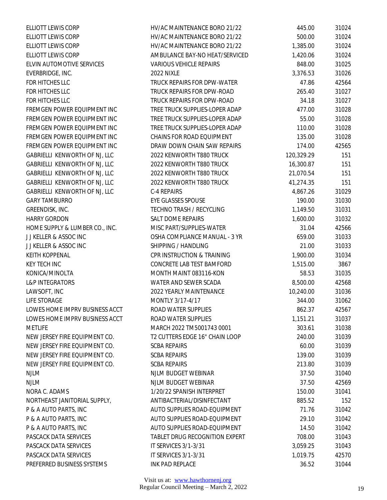| ELLIOTT LEWIS CORP             | HV/AC MAINTENANCE BORO 21/22     | 445.00     | 31024 |
|--------------------------------|----------------------------------|------------|-------|
| <b>ELLIOTT LEWIS CORP</b>      | HV/AC MAINTENANCE BORO 21/22     | 500.00     | 31024 |
| ELLIOTT LEWIS CORP             | HV/AC MAINTENANCE BORO 21/22     | 1,385.00   | 31024 |
| ELLIOTT LEWIS CORP             | AMBULANCE BAY-NO HEAT/SERVICED   | 1,420.06   | 31024 |
| ELVIN AUTOMOTIVE SERVICES      | <b>VARIOUS VEHICLE REPAIRS</b>   | 848.00     | 31025 |
| EVERBRIDGE, INC.               | 2022 NIXLE                       | 3,376.53   | 31026 |
| FDR HITCHES LLC                | TRUCK REPAIRS FOR DPW-WATER      | 47.86      | 42564 |
| FDR HITCHES LLC                | TRUCK REPAIRS FOR DPW-ROAD       | 265.40     | 31027 |
| FDR HITCHES LLC                | TRUCK REPAIRS FOR DPW-ROAD       | 34.18      | 31027 |
| FREMGEN POWER EQUIPMENT INC    | TREE TRUCK SUPPLIES-LOPER ADAP   | 477.00     | 31028 |
| FREMGEN POWER EQUIPMENT INC    | TREE TRUCK SUPPLIES-LOPER ADAP   | 55.00      | 31028 |
| FREMGEN POWER EQUIPMENT INC    | TREE TRUCK SUPPLIES-LOPER ADAP   | 110.00     | 31028 |
| FREMGEN POWER EQUIPMENT INC    | <b>CHAINS FOR ROAD EQUIPMENT</b> | 135.00     | 31028 |
| FREMGEN POWER EQUIPMENT INC    | DRAW DOWN CHAIN SAW REPAIRS      | 174.00     | 42565 |
| GABRIELLI KENWORTH OF NJ, LLC  | 2022 KENWORTH T880 TRUCK         | 120,329.29 | 151   |
| GABRIELLI KENWORTH OF NJ, LLC  | 2022 KENWORTH T880 TRUCK         | 16,300.87  | 151   |
| GABRIELLI KENWORTH OF NJ, LLC  | 2022 KENWORTH T880 TRUCK         | 21,070.54  | 151   |
| GABRIELLI KENWORTH OF NJ, LLC  | 2022 KENWORTH T880 TRUCK         | 41,274.35  | 151   |
| GABRIELLI KENWORTH OF NJ, LLC  | C-4 REPAIRS                      | 4,867.26   | 31029 |
| <b>GARY TAMBURRO</b>           | <b>EYE GLASSES SPOUSE</b>        | 190.00     | 31030 |
| GREENDISK, INC.                | TECHNO TRASH / RECYCLING         | 1,149.50   | 31031 |
| <b>HARRY GORDON</b>            | SALT DOME REPAIRS                | 1,600.00   | 31032 |
| HOME SUPPLY & LUMBER CO., INC. | MISC PART/SUPPLIES-WATER         | 31.04      | 42566 |
| JJ KELLER & ASSOC INC          | OSHA COMPLIANCE MANUAL - 3 YR    | 659.00     | 31033 |
| JJ KELLER & ASSOC INC          | SHIPPING / HANDLING              | 21.00      | 31033 |
| <b>KEITH KOPPENAL</b>          | CPR INSTRUCTION & TRAINING       | 1,900.00   | 31034 |
| <b>KEY TECH INC</b>            | CONCRETE LAB TEST BAMFORD        | 1,515.00   | 3867  |
| KONICA/MINOLTA                 | MONTH MAINT 083116-KON           | 58.53      | 31035 |
| <b>L&amp;P INTEGRATORS</b>     | WATER AND SEWER SCADA            | 8,500.00   | 42568 |
| LAWSOFT, INC                   | 2022 YEARLY MAINTENANCE          | 10,240.00  | 31036 |
| <b>LIFE STORAGE</b>            | MONTLY 3/17-4/17                 | 344.00     | 31062 |
| LOWES HOME IMPRV BUSINESS ACCT | ROAD WATER SUPPLIES              | 862.37     | 42567 |
| LOWES HOME IMPRV BUSINESS ACCT | ROAD WATER SUPPLIES              | 1,151.21   | 31037 |
| <b>METLIFE</b>                 | MARCH 2022 TM5001743 0001        | 303.61     | 31038 |
| NEW JERSEY FIRE EQUIPMENT CO.  | T2 CUTTERS EDGE 16" CHAIN LOOP   | 240.00     | 31039 |
| NEW JERSEY FIRE EQUIPMENT CO.  | <b>SCBA REPAIRS</b>              | 60.00      | 31039 |
| NEW JERSEY FIRE EQUIPMENT CO.  | <b>SCBA REPAIRS</b>              | 139.00     | 31039 |
| NEW JERSEY FIRE EQUIPMENT CO.  | <b>SCBA REPAIRS</b>              | 213.80     | 31039 |
| <b>NJLM</b>                    | NJLM BUDGET WEBINAR              | 37.50      | 31040 |
| <b>NJLM</b>                    | NJLM BUDGET WEBINAR              | 37.50      | 42569 |
| NORA C. ADAMS                  | 1/20/22 SPANISH INTERPRET        | 150.00     | 31041 |
| NORTHEAST JANITORIAL SUPPLY,   | ANTIBACTERIAL/DISINFECTANT       | 885.52     | 152   |
| P & A AUTO PARTS, INC          | AUTO SUPPLIES ROAD-EQUIPMENT     | 71.76      | 31042 |
| P & A AUTO PARTS, INC          | AUTO SUPPLIES ROAD-EQUIPMENT     | 29.10      | 31042 |
| P & A AUTO PARTS, INC          | AUTO SUPPLIES ROAD-EQUIPMENT     | 14.50      | 31042 |
| PASCACK DATA SERVICES          | TABLET DRUG RECOGNITION EXPERT   | 708.00     | 31043 |
| PASCACK DATA SERVICES          | IT SERVICES 3/1-3/31             | 3,059.25   | 31043 |
| PASCACK DATA SERVICES          | IT SERVICES 3/1-3/31             | 1,019.75   | 42570 |
| PREFERRED BUSINESS SYSTEMS     | INK PAD REPLACE                  | 36.52      | 31044 |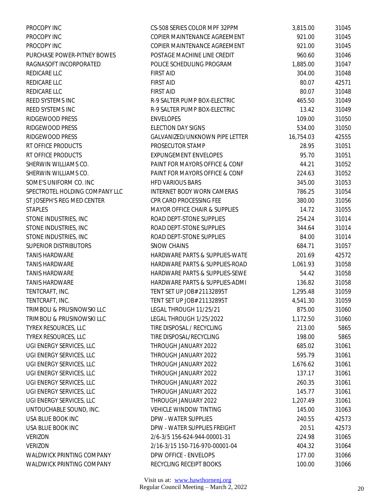| PROCOPY INC                    | CS-508 SERIES COLOR MPF 32PPM            | 3,815.00  | 31045 |
|--------------------------------|------------------------------------------|-----------|-------|
| PROCOPY INC                    | COPIER MAINTENANCE AGREEMENT             | 921.00    | 31045 |
| PROCOPY INC                    | COPIER MAINTENANCE AGREEMENT             | 921.00    | 31045 |
| PURCHASE POWER-PITNEY BOWES    | POSTAGE MACHINE LINE CREDIT              | 960.60    | 31046 |
| RAGNASOFT INCORPORATED         | POLICE SCHEDULING PROGRAM                | 1,885.00  | 31047 |
| REDICARE LLC                   | <b>FIRST AID</b>                         | 304.00    | 31048 |
| REDICARE LLC                   | <b>FIRST AID</b>                         | 80.07     | 42571 |
| REDICARE LLC                   | <b>FIRST AID</b>                         | 80.07     | 31048 |
| REED SYSTEMS INC               | R-9 SALTER PUMP BOX-ELECTRIC             | 465.50    | 31049 |
| REED SYSTEMS INC               | R-9 SALTER PUMP BOX-ELECTRIC             | 13.42     | 31049 |
| RIDGEWOOD PRESS                | <b>ENVELOPES</b>                         | 109.00    | 31050 |
| RIDGEWOOD PRESS                | <b>ELECTION DAY SIGNS</b>                | 534.00    | 31050 |
| RIDGEWOOD PRESS                | GALVANIZED/UNKNOWN PIPE LETTER           | 16,754.03 | 42555 |
| RT OFFICE PRODUCTS             | PROSECUTOR STAMP                         | 28.95     | 31051 |
| RT OFFICE PRODUCTS             | <b>EXPUNGEMENT ENVELOPES</b>             | 95.70     | 31051 |
| SHERWIN WILLIAMS CO.           | PAINT FOR MAYORS OFFICE & CONF           | 44.21     | 31052 |
| SHERWIN WILLIAMS CO.           | PAINT FOR MAYORS OFFICE & CONF           | 224.63    | 31052 |
| SOME'S UNIFORM CO. INC         | <b>HFD VARIOUS BARS</b>                  | 345.00    | 31053 |
| SPECTROTEL HOLDING COMPANY LLC | INTERNET BODY WORN CAMERAS               | 786.25    | 31054 |
| ST JOSEPH'S REG MED CENTER     | CPR CARD PROCESSING FEE                  | 380.00    | 31056 |
| <b>STAPLES</b>                 | <b>MAYOR OFFICE CHAIR &amp; SUPPLIES</b> | 14.72     | 31055 |
| STONE INDUSTRIES, INC          | ROAD DEPT-STONE SUPPLIES                 | 254.24    | 31014 |
| STONE INDUSTRIES, INC          | ROAD DEPT-STONE SUPPLIES                 | 344.64    | 31014 |
| STONE INDUSTRIES, INC          | ROAD DEPT-STONE SUPPLIES                 | 84.00     | 31014 |
| <b>SUPERIOR DISTRIBUTORS</b>   | <b>SNOW CHAINS</b>                       | 684.71    | 31057 |
| <b>TANIS HARDWARE</b>          | HARDWARE PARTS & SUPPLIES-WATE           | 201.69    | 42572 |
| <b>TANIS HARDWARE</b>          | HARDWARE PARTS & SUPPLIES-ROAD           | 1,061.93  | 31058 |
| <b>TANIS HARDWARE</b>          | HARDWARE PARTS & SUPPLIES-SEWE           | 54.42     | 31058 |
| <b>TANIS HARDWARE</b>          | HARDWARE PARTS & SUPPLIES-ADMI           | 136.82    | 31058 |
| TENTCRAFT, INC.                | TENT SET UP JOB# 21132895T               | 1,295.48  | 31059 |
| TENTCRAFT, INC.                | TENT SET UP JOB# 21132895T               | 4,541.30  | 31059 |
| TRIMBOLI & PRUSINOWSKI LLC     | LEGAL THROUGH 11/25/21                   | 875.00    | 31060 |
| TRIMBOLI & PRUSINOWSKI LLC     | LEGAL THROUGH 1/25/2022                  | 1,172.50  | 31060 |
| TYREX RESOURCES, LLC           | TIRE DISPOSAL / RECYCLING                | 213.00    | 5865  |
| TYREX RESOURCES, LLC           | TIRE DISPOSAL/RECYCLING                  | 198.00    | 5865  |
| UGI ENERGY SERVICES, LLC       | THROUGH JANUARY 2022                     | 685.02    | 31061 |
| UGI ENERGY SERVICES, LLC       | THROUGH JANUARY 2022                     | 595.79    | 31061 |
| UGI ENERGY SERVICES, LLC       | THROUGH JANUARY 2022                     | 1,676.62  | 31061 |
| UGI ENERGY SERVICES, LLC       | THROUGH JANUARY 2022                     | 137.17    | 31061 |
| UGI ENERGY SERVICES, LLC       | THROUGH JANUARY 2022                     | 260.35    | 31061 |
| UGI ENERGY SERVICES, LLC       | THROUGH JANUARY 2022                     | 145.77    | 31061 |
| UGI ENERGY SERVICES, LLC       | THROUGH JANUARY 2022                     | 1,207.49  | 31061 |
| UNTOUCHABLE SOUND, INC.        | <b>VEHICLE WINDOW TINTING</b>            | 145.00    | 31063 |
| USA BLUE BOOK INC              | DPW - WATER SUPPLIES                     | 240.55    | 42573 |
| USA BLUE BOOK INC              | DPW - WATER SUPPLIES FREIGHT             | 20.51     | 42573 |
| <b>VERIZON</b>                 | 2/6-3/5 156-624-944-00001-31             | 224.98    | 31065 |
| <b>VERIZON</b>                 | 2/16-3/15 150-716-970-00001-04           | 404.32    | 31064 |
| WALDWICK PRINTING COMPANY      | DPW OFFICE - ENVELOPS                    | 177.00    | 31066 |
| WALDWICK PRINTING COMPANY      | RECYCLING RECEIPT BOOKS                  | 100.00    | 31066 |